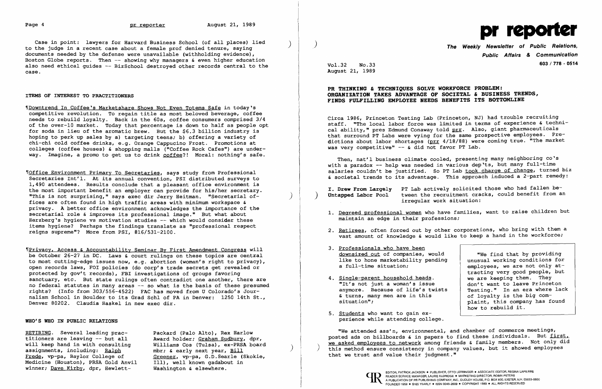Case in point: lawyers for Harvard Business School (of all places) lied<br>to the judge in a recent case about a female prof denied tenure, saying documents needed by the defense were unavailable (withholding evidence), Boston Globe reports. Then  $-$  showing why managers  $\epsilon$  even higher education also need ethical guides -- BizSchool destroyed other records central to the case.

## ITEMS OF INTEREST TO PRACTITIONERS

'IDowntrend In Coffee's Marketshare Shows Not Even Totems Safe in today's competitive revolution. To regain title as most beloved beverage, coffee needs to rebuild loyalty. Back in the 60s, coffee consumers comprised 3/4 of the over-10 market. Today that percentage is down to half as people opt for soda in lieu of the aromatic brew. But the \$6.3 billion industry is hoping to perk up sales by a} targeting teens: b} offering a variety of chi-chi cold coffee drinks, e.g. Orange Cappucino Frost. Promotions at colleges (coffee houses) & shopping malls ("Coffee Rock Cafes") are underway. Imagine, a promo to get us to drink coffee?! Moral: nothing's safe.

**NOffice Environment Primary To Secretaries, says study from Professional** Secretaries Int'l. At its annual convention, PSI distributed surveys to 1,490 attendees. Results conclude that a pleasant office environment is the most important benefit an employer can provide for his/her secretary. "This is not surprising," says exec dir Jerry Heitman. "Secretarial offices are often found in high traffic areas with minimum workspace & privacy. A better office environment acknowledges the importance of the secretarial role & improves its professional image." But what about Herzberg's hygiene vs motivation studies  $-\pi$  which would consider these items hygiene? Perhaps the findings translate as "professional respect reigns supreme"? More from PSI, 816/531-2100.

Circa 1986, Princeton Testing Lab (Princeton, NJ) had trouble recruiting staff. "The local labor force was limited in terms of experience & technical ability," pres Edmund Conaway told prr. Also, giant pharmaceuticals that surround PT Labs were vying for the same prospective employees. Predictions about labor shortages (prr 4/18/88) were coming true. "The market was very competitive" -- & did not favor PT Lab.

'IPrivacy, Access & Accountability Seminar By First Amendment Congress will be October 26-27 in DC. Laws & court rulings on these topics are central to most cutting-edge issues now, e.g. abortion (woman's right to privacy), open records laws, FOI policies (do corp's trade secrets get revealed or protected by gov't records), FBI investigations of groups favoring sanctuary, etc. But state rulings often contradict one another, there are no federal statutes in many areas -- so what is the basis of these presumed rights? (Info from 303/556-4522) FAC has moved from U Colorado's Journalism School in Boulder to its Grad Schl of PA in Denver: 1250 14th St., Denver 80202. Claudia Haskel in new exec dir.

2. Retirees, often forced out by other corporations, who bring with them a vast amount of knowledge & would like to keep a hand in the workforce;

"We find that by providing<br>unusual working conditions for employees, we are not only  $at$ tracting very good people, but<br>we are keeping them. They "It's not just a woman's issue<br>anymore. Because of life's twists | Testing." In an era where lack anymore. Because of life's twists  $\kappa$  and  $\kappa$  turns. The annument of lovalty is the big com-& turns, many men are in this  $\begin{array}{c|c} \text{of low-} \\ \text{of low-} \\ \text{shint. this company has five}\end{array}$ plaint, this company has found how to rebuild it.

- maintain an edge in their professions;
- 
- 3. Professionals who have been downsized out of companies, would like to hone marketability pending<br>a full-time situation:
- 4. Single-parent household heads.<br>"It's not just a woman's issue
- 5. <u>Students</u> who want to gain experience while attending college.

## WHO'S WHO IN PUBLIC RELATIONS

RETIRING. Several leading prac-<br>titioners are leaving -- but all award holder; Graham Sudbury, dr titioners are leaving -- but all award holder; Graham Sudbury, dpr, will keep hand in with consulting a Williams Cos (Tulsa), ex-PRSA board Medicine (Houston), PRSA Gold Anvil Ill), well known gadabout winner; Dave Kirby, dpr, Hewlett- Washington & elsewhere. winner; Dave Kirby, dpr, Hewlett-

will keep hand in with consulting Williams Cos (Tulsa), ex-PRSA board<br>assignments, including: <u>Ralph</u> mbr; & early next year, <u>Bill</u><br>Frede, vp-pa, Baylor College of Greener, vp-pa, G.D.Searle (Skokie, Greener, vp-pa, G.D.Searle (Skokie, Ill), well known gadabout in



) The Weekly Newsletter of Public Relations, Public Affairs & Communication Vol.32 No.33 603/778 - <sup>0514</sup>

1. Degreed professional women who have families, want to raise children but

August 21, 1989

## PR THINKING & TECHNIQUES SOLVE WORKFORCE PROBLEM: ORGANIZATION TAKES ADVANTAGE OF SOCIETAL & BUSINESS TRENDS, FINDS FULFILLING EMPLOYEE NEEDS BENEFITS ITS BOTTOMLINE

Then, nat'l business climate cooled, presenting many neighboring co's with a paradox -- help was needed in various dep'ts, but many full-time salaries couldn't be justified. So PT Lab took charge of change, turned biz & societal trends to its advantage. This approach induced a 2-part remedy:

I. Drew From Largely PT Lab actively solicited those who had fallen be-<br>Untapped Labor Pool tween the recruitment cracks, could benefit from an tween the recruitment cracks, could benefit from an irregular work situation:

"We attended ass'n, environmental, and chamber of commerce meetings, posted ads on billboards & in papers to find these individuals. But first, we asked employees to network among friends & family members. Not only did this method ensure consistency in company values, but it showed employees that we trust and value their judgment."